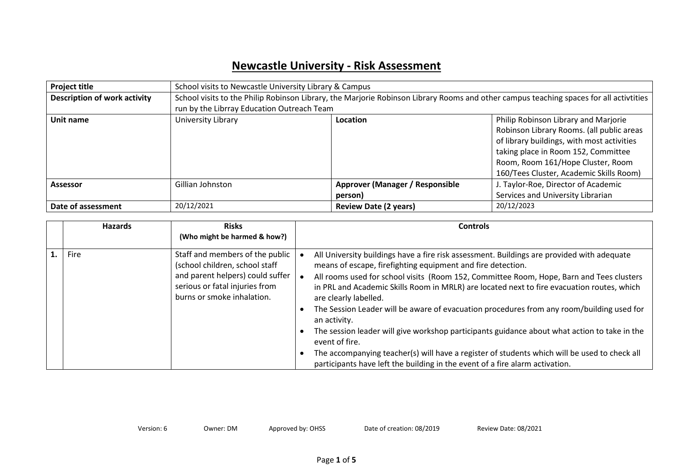## **Newcastle University - Risk Assessment**

| <b>Project title</b>                | School visits to Newcastle University Library & Campus                                                                                 |                                            |                                           |  |
|-------------------------------------|----------------------------------------------------------------------------------------------------------------------------------------|--------------------------------------------|-------------------------------------------|--|
| <b>Description of work activity</b> | School visits to the Philip Robinson Library, the Marjorie Robinson Library Rooms and other campus teaching spaces for all activtities |                                            |                                           |  |
|                                     | run by the Librray Education Outreach Team                                                                                             |                                            |                                           |  |
| Unit name                           | University Library                                                                                                                     | Location                                   | Philip Robinson Library and Marjorie      |  |
|                                     |                                                                                                                                        |                                            | Robinson Library Rooms. (all public areas |  |
|                                     |                                                                                                                                        | of library buildings, with most activities |                                           |  |
|                                     |                                                                                                                                        |                                            | taking place in Room 152, Committee       |  |
|                                     |                                                                                                                                        |                                            | Room, Room 161/Hope Cluster, Room         |  |
|                                     |                                                                                                                                        |                                            | 160/Tees Cluster, Academic Skills Room)   |  |
| <b>Assessor</b>                     | Gillian Johnston                                                                                                                       | Approver (Manager / Responsible            | J. Taylor-Roe, Director of Academic       |  |
|                                     |                                                                                                                                        | person)                                    | Services and University Librarian         |  |
| Date of assessment                  | 20/12/2021                                                                                                                             | 20/12/2023<br><b>Review Date (2 years)</b> |                                           |  |

| <b>Hazards</b> | <b>Risks</b>                                                                                                                                                          | <b>Controls</b>                                                                                                                                                                                                                                                                                                                                                                                                                                                                                                                                                                                                                                                                                                                                                                             |  |
|----------------|-----------------------------------------------------------------------------------------------------------------------------------------------------------------------|---------------------------------------------------------------------------------------------------------------------------------------------------------------------------------------------------------------------------------------------------------------------------------------------------------------------------------------------------------------------------------------------------------------------------------------------------------------------------------------------------------------------------------------------------------------------------------------------------------------------------------------------------------------------------------------------------------------------------------------------------------------------------------------------|--|
|                | (Who might be harmed & how?)                                                                                                                                          |                                                                                                                                                                                                                                                                                                                                                                                                                                                                                                                                                                                                                                                                                                                                                                                             |  |
| Fire           | Staff and members of the public<br>(school children, school staff<br>and parent helpers) could suffer<br>serious or fatal injuries from<br>burns or smoke inhalation. | All University buildings have a fire risk assessment. Buildings are provided with adequate<br>means of escape, firefighting equipment and fire detection.<br>All rooms used for school visits (Room 152, Committee Room, Hope, Barn and Tees clusters<br>in PRL and Academic Skills Room in MRLR) are located next to fire evacuation routes, which<br>are clearly labelled.<br>The Session Leader will be aware of evacuation procedures from any room/building used for<br>an activity.<br>The session leader will give workshop participants guidance about what action to take in the<br>event of fire.<br>The accompanying teacher(s) will have a register of students which will be used to check all<br>participants have left the building in the event of a fire alarm activation. |  |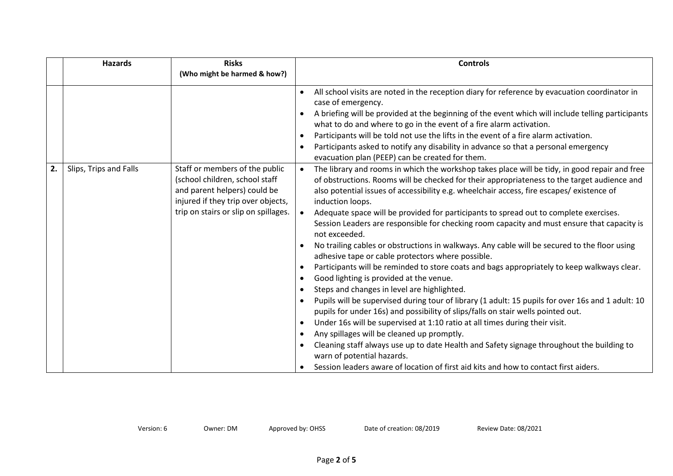|    | <b>Hazards</b>         | <b>Risks</b>                                                                                                                                                                   | <b>Controls</b>                                                                                                                                                                                                                                                                                                                                                                                                                                                                                                                                                                                                                                                                                                                                                                                                                                                                                                                                                                                                                                                                                                                                                                                                                                                                                                                                                                                                                                                                                                                    |  |
|----|------------------------|--------------------------------------------------------------------------------------------------------------------------------------------------------------------------------|------------------------------------------------------------------------------------------------------------------------------------------------------------------------------------------------------------------------------------------------------------------------------------------------------------------------------------------------------------------------------------------------------------------------------------------------------------------------------------------------------------------------------------------------------------------------------------------------------------------------------------------------------------------------------------------------------------------------------------------------------------------------------------------------------------------------------------------------------------------------------------------------------------------------------------------------------------------------------------------------------------------------------------------------------------------------------------------------------------------------------------------------------------------------------------------------------------------------------------------------------------------------------------------------------------------------------------------------------------------------------------------------------------------------------------------------------------------------------------------------------------------------------------|--|
|    |                        | (Who might be harmed & how?)                                                                                                                                                   |                                                                                                                                                                                                                                                                                                                                                                                                                                                                                                                                                                                                                                                                                                                                                                                                                                                                                                                                                                                                                                                                                                                                                                                                                                                                                                                                                                                                                                                                                                                                    |  |
|    |                        |                                                                                                                                                                                | All school visits are noted in the reception diary for reference by evacuation coordinator in<br>$\bullet$<br>case of emergency.<br>A briefing will be provided at the beginning of the event which will include telling participants<br>what to do and where to go in the event of a fire alarm activation.<br>Participants will be told not use the lifts in the event of a fire alarm activation.<br>$\bullet$<br>Participants asked to notify any disability in advance so that a personal emergency<br>$\bullet$<br>evacuation plan (PEEP) can be created for them.                                                                                                                                                                                                                                                                                                                                                                                                                                                                                                                                                                                                                                                                                                                                                                                                                                                                                                                                                           |  |
| 2. | Slips, Trips and Falls | Staff or members of the public<br>(school children, school staff<br>and parent helpers) could be<br>injured if they trip over objects,<br>trip on stairs or slip on spillages. | The library and rooms in which the workshop takes place will be tidy, in good repair and free<br>$\bullet$<br>of obstructions. Rooms will be checked for their appropriateness to the target audience and<br>also potential issues of accessibility e.g. wheelchair access, fire escapes/ existence of<br>induction loops.<br>Adequate space will be provided for participants to spread out to complete exercises.<br>Session Leaders are responsible for checking room capacity and must ensure that capacity is<br>not exceeded.<br>No trailing cables or obstructions in walkways. Any cable will be secured to the floor using<br>adhesive tape or cable protectors where possible.<br>Participants will be reminded to store coats and bags appropriately to keep walkways clear.<br>$\bullet$<br>Good lighting is provided at the venue.<br>$\bullet$<br>Steps and changes in level are highlighted.<br>$\bullet$<br>Pupils will be supervised during tour of library (1 adult: 15 pupils for over 16s and 1 adult: 10<br>$\bullet$<br>pupils for under 16s) and possibility of slips/falls on stair wells pointed out.<br>Under 16s will be supervised at 1:10 ratio at all times during their visit.<br>$\bullet$<br>Any spillages will be cleaned up promptly.<br>$\bullet$<br>Cleaning staff always use up to date Health and Safety signage throughout the building to<br>$\bullet$<br>warn of potential hazards.<br>Session leaders aware of location of first aid kits and how to contact first aiders.<br>$\bullet$ |  |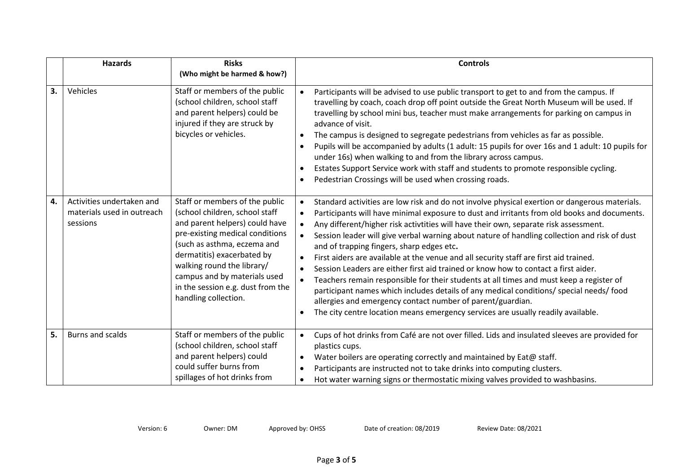|    | <b>Hazards</b>                                                      | <b>Risks</b><br>(Who might be harmed & how?)                                                                                                                                                                                                                                                                                  | <b>Controls</b>                                                                                                                                                                                                                                                                                                                                                                                                                                                                                                                                                                                                                                                                                                                                                                                                                                                                                                                                                                                                                        |
|----|---------------------------------------------------------------------|-------------------------------------------------------------------------------------------------------------------------------------------------------------------------------------------------------------------------------------------------------------------------------------------------------------------------------|----------------------------------------------------------------------------------------------------------------------------------------------------------------------------------------------------------------------------------------------------------------------------------------------------------------------------------------------------------------------------------------------------------------------------------------------------------------------------------------------------------------------------------------------------------------------------------------------------------------------------------------------------------------------------------------------------------------------------------------------------------------------------------------------------------------------------------------------------------------------------------------------------------------------------------------------------------------------------------------------------------------------------------------|
| 3. | Vehicles                                                            | Staff or members of the public<br>(school children, school staff<br>and parent helpers) could be<br>injured if they are struck by<br>bicycles or vehicles.                                                                                                                                                                    | Participants will be advised to use public transport to get to and from the campus. If<br>$\bullet$<br>travelling by coach, coach drop off point outside the Great North Museum will be used. If<br>travelling by school mini bus, teacher must make arrangements for parking on campus in<br>advance of visit.<br>The campus is designed to segregate pedestrians from vehicles as far as possible.<br>Pupils will be accompanied by adults (1 adult: 15 pupils for over 16s and 1 adult: 10 pupils for<br>$\bullet$<br>under 16s) when walking to and from the library across campus.<br>Estates Support Service work with staff and students to promote responsible cycling.<br>$\bullet$<br>Pedestrian Crossings will be used when crossing roads.<br>$\bullet$                                                                                                                                                                                                                                                                    |
| 4. | Activities undertaken and<br>materials used in outreach<br>sessions | Staff or members of the public<br>(school children, school staff<br>and parent helpers) could have<br>pre-existing medical conditions<br>(such as asthma, eczema and<br>dermatitis) exacerbated by<br>walking round the library/<br>campus and by materials used<br>in the session e.g. dust from the<br>handling collection. | Standard activities are low risk and do not involve physical exertion or dangerous materials.<br>$\bullet$<br>Participants will have minimal exposure to dust and irritants from old books and documents.<br>$\bullet$<br>Any different/higher risk activtities will have their own, separate risk assessment.<br>$\bullet$<br>Session leader will give verbal warning about nature of handling collection and risk of dust<br>and of trapping fingers, sharp edges etc.<br>First aiders are available at the venue and all security staff are first aid trained.<br>$\bullet$<br>Session Leaders are either first aid trained or know how to contact a first aider.<br>$\bullet$<br>Teachers remain responsible for their students at all times and must keep a register of<br>$\bullet$<br>participant names which includes details of any medical conditions/ special needs/ food<br>allergies and emergency contact number of parent/guardian.<br>The city centre location means emergency services are usually readily available. |
| 5. | <b>Burns and scalds</b>                                             | Staff or members of the public<br>(school children, school staff<br>and parent helpers) could<br>could suffer burns from<br>spillages of hot drinks from                                                                                                                                                                      | Cups of hot drinks from Café are not over filled. Lids and insulated sleeves are provided for<br>$\bullet$<br>plastics cups.<br>Water boilers are operating correctly and maintained by Eat@ staff.<br>$\bullet$<br>Participants are instructed not to take drinks into computing clusters.<br>$\bullet$<br>Hot water warning signs or thermostatic mixing valves provided to washbasins.                                                                                                                                                                                                                                                                                                                                                                                                                                                                                                                                                                                                                                              |

Version: 6 Owner: DM Approved by: OHSS Date of creation: 08/2019 Review Date: 08/2021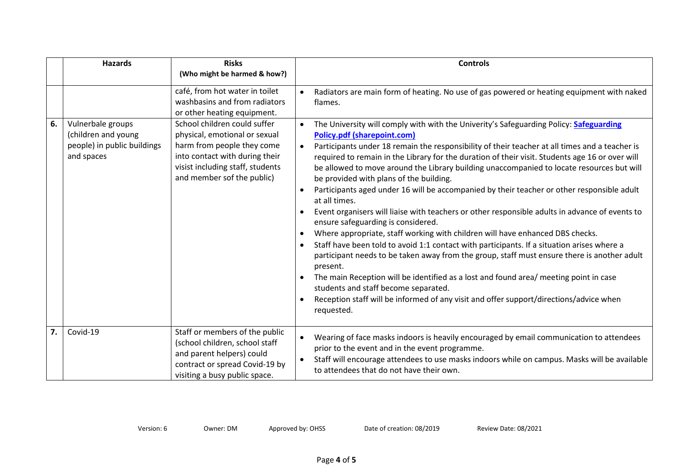|    | <b>Hazards</b>                                                                        | <b>Risks</b><br>(Who might be harmed & how?)                                                                                                                                                    | <b>Controls</b>                                                                                                                                                                                                                                                                                                                                                                                                                                                                                                                                                                                                                                                                                                                                                                                                                                                                                                                                                                                                                                                                                                                                                                                                                                                                                                         |  |
|----|---------------------------------------------------------------------------------------|-------------------------------------------------------------------------------------------------------------------------------------------------------------------------------------------------|-------------------------------------------------------------------------------------------------------------------------------------------------------------------------------------------------------------------------------------------------------------------------------------------------------------------------------------------------------------------------------------------------------------------------------------------------------------------------------------------------------------------------------------------------------------------------------------------------------------------------------------------------------------------------------------------------------------------------------------------------------------------------------------------------------------------------------------------------------------------------------------------------------------------------------------------------------------------------------------------------------------------------------------------------------------------------------------------------------------------------------------------------------------------------------------------------------------------------------------------------------------------------------------------------------------------------|--|
|    |                                                                                       | café, from hot water in toilet<br>washbasins and from radiators<br>or other heating equipment.                                                                                                  | Radiators are main form of heating. No use of gas powered or heating equipment with naked<br>$\bullet$<br>flames.                                                                                                                                                                                                                                                                                                                                                                                                                                                                                                                                                                                                                                                                                                                                                                                                                                                                                                                                                                                                                                                                                                                                                                                                       |  |
| 6. | Vulnerbale groups<br>(children and young<br>people) in public buildings<br>and spaces | School children could suffer<br>physical, emotional or sexual<br>harm from people they come<br>into contact with during their<br>visist including staff, students<br>and member sof the public) | The University will comply with with the Univerity's Safeguarding Policy: Safeguarding<br><b>Policy.pdf (sharepoint.com)</b><br>Participants under 18 remain the responsibility of their teacher at all times and a teacher is<br>$\bullet$<br>required to remain in the Library for the duration of their visit. Students age 16 or over will<br>be allowed to move around the Library building unaccompanied to locate resources but will<br>be provided with plans of the building.<br>Participants aged under 16 will be accompanied by their teacher or other responsible adult<br>at all times.<br>Event organisers will liaise with teachers or other responsible adults in advance of events to<br>$\bullet$<br>ensure safeguarding is considered.<br>Where appropriate, staff working with children will have enhanced DBS checks.<br>$\bullet$<br>Staff have been told to avoid 1:1 contact with participants. If a situation arises where a<br>$\bullet$<br>participant needs to be taken away from the group, staff must ensure there is another adult<br>present.<br>The main Reception will be identified as a lost and found area/ meeting point in case<br>students and staff become separated.<br>Reception staff will be informed of any visit and offer support/directions/advice when<br>requested. |  |
| 7. | Covid-19                                                                              | Staff or members of the public<br>(school children, school staff<br>and parent helpers) could<br>contract or spread Covid-19 by<br>visiting a busy public space.                                | Wearing of face masks indoors is heavily encouraged by email communication to attendees<br>$\bullet$<br>prior to the event and in the event programme.<br>Staff will encourage attendees to use masks indoors while on campus. Masks will be available<br>to attendees that do not have their own.                                                                                                                                                                                                                                                                                                                                                                                                                                                                                                                                                                                                                                                                                                                                                                                                                                                                                                                                                                                                                      |  |